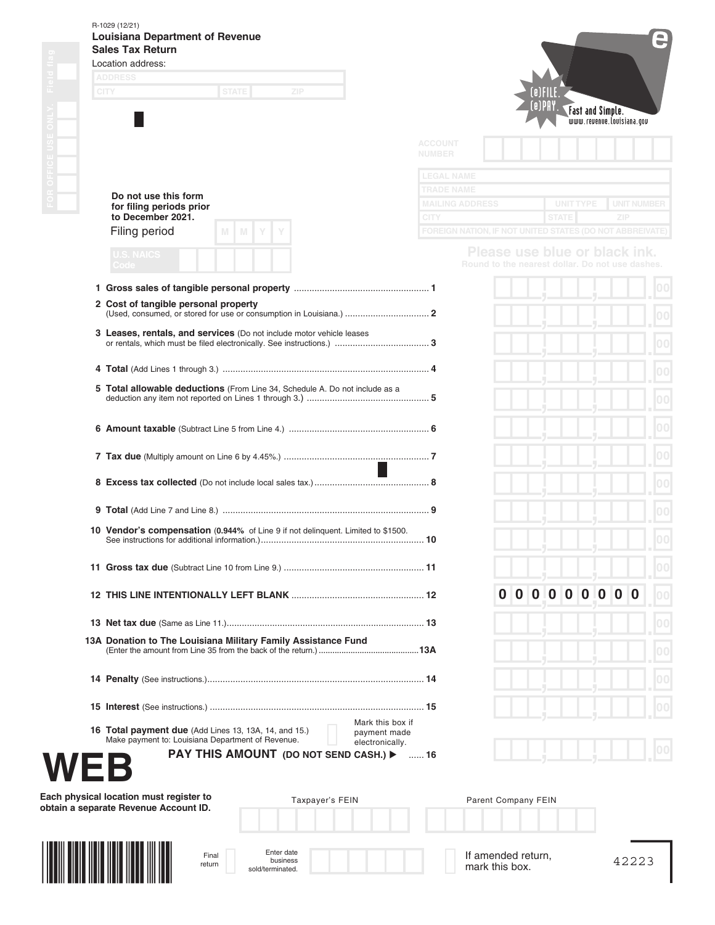## R-1029 (12/21)

|             | Location address:<br><b>ADDRESS</b>                                                                                         |                |                                                          |                     |          |          |              |                         |             |                                                                                  |                    |
|-------------|-----------------------------------------------------------------------------------------------------------------------------|----------------|----------------------------------------------------------|---------------------|----------|----------|--------------|-------------------------|-------------|----------------------------------------------------------------------------------|--------------------|
| <b>CITY</b> | <b>STATE</b><br>ZIP                                                                                                         |                |                                                          |                     |          | (e)PAY.  |              |                         |             |                                                                                  |                    |
|             |                                                                                                                             |                |                                                          |                     |          |          |              | <b>Fast and Simple.</b> |             | www.revenue.louisiana.gov                                                        |                    |
|             |                                                                                                                             | <b>ACCOUNT</b> |                                                          |                     |          |          |              |                         |             |                                                                                  |                    |
|             |                                                                                                                             | <b>NUMBER</b>  |                                                          |                     |          |          |              |                         |             |                                                                                  |                    |
|             |                                                                                                                             |                | <b>LEGAL NAME</b><br>TRADE NAME                          |                     |          |          |              |                         |             |                                                                                  |                    |
|             | Do not use this form<br>for filing periods prior<br>to December 2021.                                                       | <b>CITY</b>    | <b>MAILING ADDRESS</b>                                   |                     |          |          | <b>STATE</b> | <b>UNIT TYPE</b>        |             | ZIP                                                                              | <b>UNIT NUMBER</b> |
|             | Filing period<br>M<br>M                                                                                                     |                | FOREIGN NATION, IF NOT UNITED STATES (DO NOT ABBREIVATE) |                     |          |          |              |                         |             |                                                                                  |                    |
|             | <b>U.S. NAICS</b>                                                                                                           |                |                                                          |                     |          |          |              |                         |             | Please use blue or black ink.<br>Round to the nearest dollar. Do not use dashes. |                    |
|             | Code                                                                                                                        |                |                                                          |                     |          |          |              |                         |             |                                                                                  |                    |
|             | 2 Cost of tangible personal property                                                                                        |                |                                                          |                     |          |          |              |                         |             |                                                                                  | 00                 |
|             |                                                                                                                             |                |                                                          |                     |          |          |              |                         |             |                                                                                  | 0 <sup>0</sup>     |
|             | 3 Leases, rentals, and services (Do not include motor vehicle leases                                                        |                |                                                          |                     |          |          |              |                         |             |                                                                                  | 0 <sup>0</sup>     |
|             |                                                                                                                             |                |                                                          |                     |          |          |              |                         |             |                                                                                  | 0 <sup>0</sup>     |
|             | 5 Total allowable deductions (From Line 34, Schedule A. Do not include as a                                                 |                |                                                          |                     |          |          |              |                         |             |                                                                                  |                    |
|             |                                                                                                                             |                |                                                          |                     |          |          |              |                         |             |                                                                                  | 0 <sup>0</sup>     |
|             |                                                                                                                             |                |                                                          |                     |          |          |              |                         |             |                                                                                  | 00                 |
|             |                                                                                                                             |                |                                                          |                     |          |          |              |                         |             |                                                                                  | 00                 |
|             |                                                                                                                             |                |                                                          |                     |          |          |              |                         |             |                                                                                  | 0 <sup>0</sup>     |
|             |                                                                                                                             |                |                                                          |                     |          |          |              |                         |             |                                                                                  | 0 <sup>0</sup>     |
|             | 10 Vendor's compensation (0.944% of Line 9 if not delinquent. Limited to \$1500.                                            |                |                                                          |                     |          |          |              |                         |             |                                                                                  |                    |
|             |                                                                                                                             |                |                                                          |                     |          |          |              |                         |             |                                                                                  | 00                 |
|             |                                                                                                                             |                |                                                          |                     |          |          |              |                         |             |                                                                                  |                    |
|             |                                                                                                                             |                |                                                          | 0                   | $\bf{0}$ | $\bf{0}$ | $\bf{0}$     | $\bf{0}$<br>$\mathbf 0$ | $\mathbf 0$ | $\bf{0}$<br>$\bf{0}$                                                             | 00                 |
|             |                                                                                                                             |                |                                                          |                     |          |          |              |                         |             |                                                                                  | 00                 |
|             | 13A Donation to The Louisiana Military Family Assistance Fund                                                               |                |                                                          |                     |          |          |              |                         |             |                                                                                  |                    |
|             |                                                                                                                             |                |                                                          |                     |          |          |              |                         |             |                                                                                  | 010                |
|             |                                                                                                                             |                |                                                          |                     |          |          |              |                         |             |                                                                                  | 00                 |
|             |                                                                                                                             |                |                                                          |                     |          |          |              |                         |             |                                                                                  |                    |
|             | Mark this box if<br><b>16 Total payment due</b> (Add Lines 13, 13A, 14, and 15.)<br>payment made                            |                |                                                          |                     |          |          |              |                         |             |                                                                                  |                    |
|             | Make payment to: Louisiana Department of Revenue.<br>electronically.<br><b>PAY THIS AMOUNT (DO NOT SEND CASH.) &gt;  16</b> |                |                                                          |                     |          |          |              |                         |             |                                                                                  |                    |
|             |                                                                                                                             |                |                                                          |                     |          |          |              |                         |             |                                                                                  |                    |
|             | Each physical location must register to<br>Taxpayer's FEIN                                                                  |                |                                                          | Parent Company FEIN |          |          |              |                         |             |                                                                                  |                    |
|             | obtain a separate Revenue Account ID.                                                                                       |                |                                                          |                     |          |          |              |                         |             |                                                                                  |                    |
|             |                                                                                                                             |                |                                                          |                     |          |          |              |                         |             |                                                                                  |                    |
|             | Enter date<br>Final                                                                                                         |                |                                                          | If amended return,  |          |          |              |                         |             | 42223                                                                            |                    |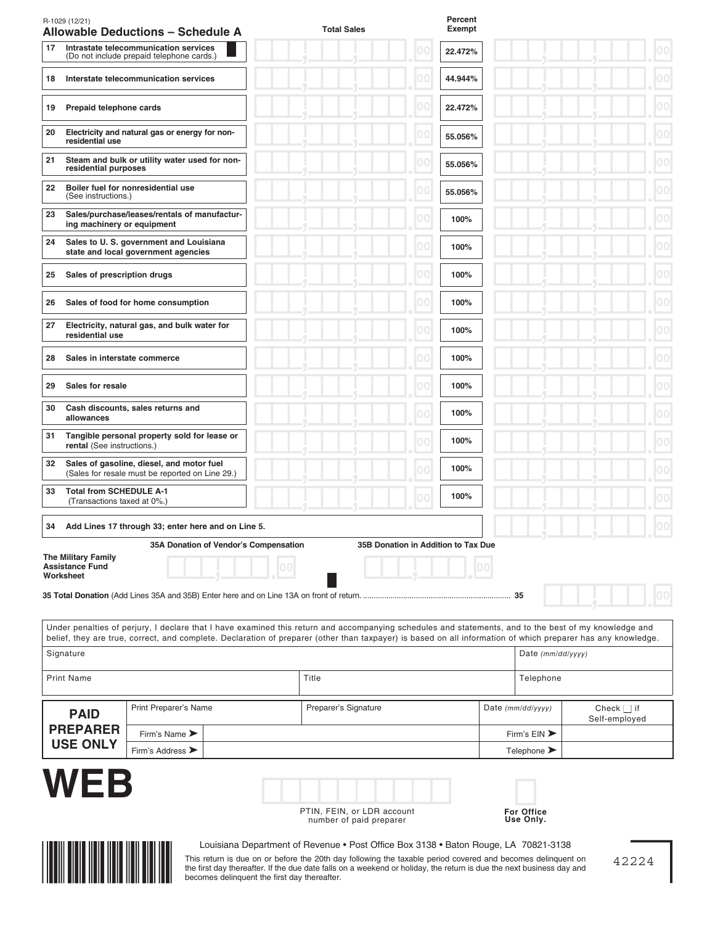|                                                                     | <b>Allowable Deductions - Schedule A</b>                                                                                                                                                                                                                                                                              | <b>Total Sales</b>   |                                     | Percent<br>Exempt |                     |                                  |
|---------------------------------------------------------------------|-----------------------------------------------------------------------------------------------------------------------------------------------------------------------------------------------------------------------------------------------------------------------------------------------------------------------|----------------------|-------------------------------------|-------------------|---------------------|----------------------------------|
| 17                                                                  | Intrastate telecommunication services<br>(Do not include prepaid telephone cards.)                                                                                                                                                                                                                                    |                      | 00                                  | 22.472%           |                     |                                  |
| 18                                                                  | Interstate telecommunication services                                                                                                                                                                                                                                                                                 |                      | 00                                  | 44.944%           |                     |                                  |
| Prepaid telephone cards<br>19                                       |                                                                                                                                                                                                                                                                                                                       |                      | 00                                  | 22.472%           |                     | 00                               |
| 20<br>residential use                                               | Electricity and natural gas or energy for non-                                                                                                                                                                                                                                                                        |                      |                                     | 55.056%           |                     | 00                               |
| 21<br>residential purposes                                          | Steam and bulk or utility water used for non-                                                                                                                                                                                                                                                                         |                      |                                     | 55.056%           |                     | 00                               |
| 22<br>(See instructions.)                                           | Boiler fuel for nonresidential use                                                                                                                                                                                                                                                                                    |                      |                                     | 55.056%           |                     | 00                               |
| 23<br>ing machinery or equipment                                    | Sales/purchase/leases/rentals of manufactur-                                                                                                                                                                                                                                                                          |                      |                                     | 100%              |                     | 0 <sup>0</sup>                   |
| 24                                                                  | Sales to U. S. government and Louisiana<br>state and local government agencies                                                                                                                                                                                                                                        |                      |                                     | 100%              |                     | 00                               |
| Sales of prescription drugs<br>25                                   |                                                                                                                                                                                                                                                                                                                       |                      |                                     | 100%              |                     | 00                               |
| 26                                                                  | Sales of food for home consumption                                                                                                                                                                                                                                                                                    |                      |                                     | 100%              |                     | 00                               |
| 27<br>residential use                                               | Electricity, natural gas, and bulk water for                                                                                                                                                                                                                                                                          |                      |                                     | 100%              |                     | 00                               |
| 28<br>Sales in interstate commerce                                  |                                                                                                                                                                                                                                                                                                                       |                      |                                     | 100%              |                     |                                  |
| 29<br>Sales for resale                                              |                                                                                                                                                                                                                                                                                                                       |                      |                                     | 100%              |                     |                                  |
| 30<br>allowances                                                    | Cash discounts, sales returns and                                                                                                                                                                                                                                                                                     |                      |                                     | 100%              |                     |                                  |
| 31<br>rental (See instructions.)                                    | Tangible personal property sold for lease or                                                                                                                                                                                                                                                                          |                      |                                     | 100%              |                     |                                  |
| 32                                                                  | Sales of gasoline, diesel, and motor fuel<br>(Sales for resale must be reported on Line 29.)                                                                                                                                                                                                                          |                      |                                     | 100%              |                     |                                  |
| <b>Total from SCHEDULE A-1</b><br>33<br>(Transactions taxed at 0%.) |                                                                                                                                                                                                                                                                                                                       |                      |                                     | 100%              |                     |                                  |
| 34                                                                  | Add Lines 17 through 33; enter here and on Line 5.                                                                                                                                                                                                                                                                    |                      |                                     |                   |                     |                                  |
| <b>The Military Family</b><br><b>Assistance Fund</b><br>Worksheet   | 35A Donation of Vendor's Compensation<br>35 Total Donation (Add Lines 35A and 35B) Enter here and on Line 13A on front of return.                                                                                                                                                                                     |                      | 35B Donation in Addition to Tax Due |                   | 35                  |                                  |
|                                                                     | Under penalties of perjury, I declare that I have examined this return and accompanying schedules and statements, and to the best of my knowledge and<br>belief, they are true, correct, and complete. Declaration of preparer (other than taxpayer) is based on all information of which preparer has any knowledge. |                      |                                     |                   |                     |                                  |
| Signature                                                           |                                                                                                                                                                                                                                                                                                                       |                      |                                     |                   | Date (mm/dd/yyyy)   |                                  |
|                                                                     |                                                                                                                                                                                                                                                                                                                       | Title                |                                     |                   | Telephone           |                                  |
| <b>Print Name</b>                                                   |                                                                                                                                                                                                                                                                                                                       |                      |                                     |                   |                     |                                  |
| <b>PAID</b><br><b>PREPARER</b>                                      | Print Preparer's Name                                                                                                                                                                                                                                                                                                 | Preparer's Signature |                                     |                   | Date $(mm/dd/yyyy)$ | Check $\Box$ if<br>Self-employed |

This return is due on or before the 20th day following the taxable period covered and becomes delinquent on the first day thereafter. If the due date falls on a weekend or holiday, the return is due the next business day and becomes delinquent the first day thereafter.